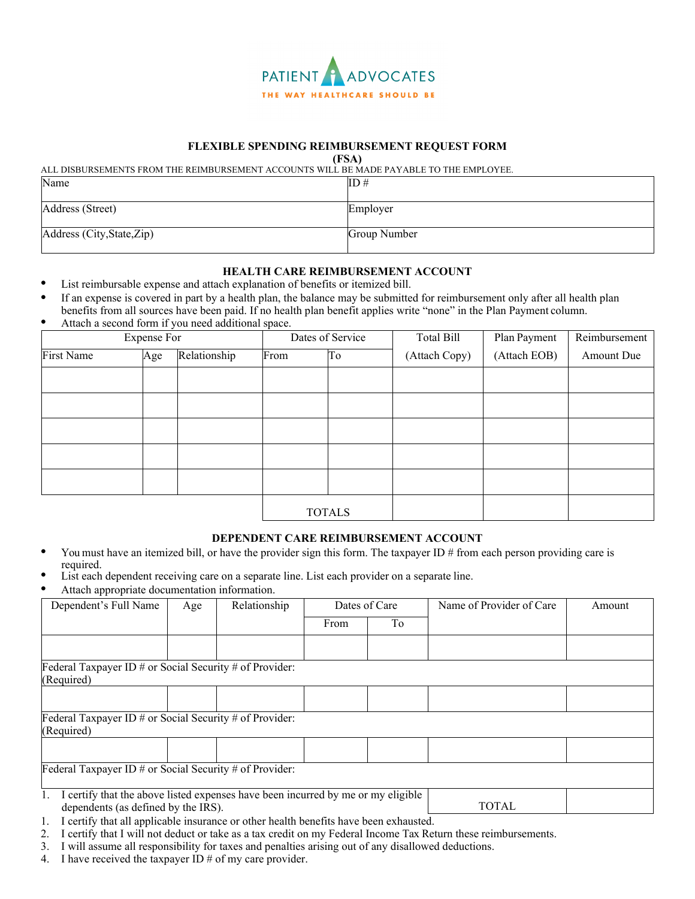

## **FLEXIBLE SPENDING REIMBURSEMENT REQUEST FORM**

**(FSA)**

ALL DISBURSEMENTS FROM THE REIMBURSEMENT ACCOUNTS WILL BE MADE PAYABLE TO THE EMPLOYEE.

| Name                       | ID#          |
|----------------------------|--------------|
| Address (Street)           | Employer     |
| Address (City, State, Zip) | Group Number |

- **HEALTH CARE REIMBURSEMENT ACCOUNT**<br>List reimbursable expense and attach explanation of benefits or itemized bill.
- If an expense is covered in part by a health plan, the balance may be submitted for reimbursement only after all health plan benefits from all sources have been paid. If no health plan benefit applies write "none" in the Plan Payment column.<br>Attach a second form if you need additional space.
- 

| <b>Expense For</b> |     |              | Dates of Service | Total Bill | Plan Payment  | Reimbursement |            |
|--------------------|-----|--------------|------------------|------------|---------------|---------------|------------|
| First Name         | Age | Relationship | From             | To         | (Attach Copy) | (Attach EOB)  | Amount Due |
|                    |     |              |                  |            |               |               |            |
|                    |     |              |                  |            |               |               |            |
|                    |     |              |                  |            |               |               |            |
|                    |     |              |                  |            |               |               |            |
|                    |     |              |                  |            |               |               |            |
|                    |     |              | <b>TOTALS</b>    |            |               |               |            |

## **DEPENDENT CARE REIMBURSEMENT ACCOUNT**

- You must have an itemized bill, or have the provider sign this form. The taxpayer ID # from each person providing care is required.
- List each dependent receiving care on a separate line. List each provider on a separate line.
- Attach appropriate documentation information.

| Dependent's Full Name                                                                                                                                                                                                                                                                                                                                                                                                                                                                                                                                                                                                 | Age | Relationship                                  | Dates of Care |    | Name of Provider of Care | Amount |
|-----------------------------------------------------------------------------------------------------------------------------------------------------------------------------------------------------------------------------------------------------------------------------------------------------------------------------------------------------------------------------------------------------------------------------------------------------------------------------------------------------------------------------------------------------------------------------------------------------------------------|-----|-----------------------------------------------|---------------|----|--------------------------|--------|
|                                                                                                                                                                                                                                                                                                                                                                                                                                                                                                                                                                                                                       |     |                                               | From          | To |                          |        |
|                                                                                                                                                                                                                                                                                                                                                                                                                                                                                                                                                                                                                       |     |                                               |               |    |                          |        |
| Federal Taxpayer ID # or Social Security # of Provider:                                                                                                                                                                                                                                                                                                                                                                                                                                                                                                                                                               |     |                                               |               |    |                          |        |
| (Required)                                                                                                                                                                                                                                                                                                                                                                                                                                                                                                                                                                                                            |     |                                               |               |    |                          |        |
|                                                                                                                                                                                                                                                                                                                                                                                                                                                                                                                                                                                                                       |     |                                               |               |    |                          |        |
| Federal Taxpayer ID # or Social Security # of Provider:<br>(Required)                                                                                                                                                                                                                                                                                                                                                                                                                                                                                                                                                 |     |                                               |               |    |                          |        |
|                                                                                                                                                                                                                                                                                                                                                                                                                                                                                                                                                                                                                       |     |                                               |               |    |                          |        |
| Federal Taxpayer ID # or Social Security $\frac{1}{4}$ of Provider:                                                                                                                                                                                                                                                                                                                                                                                                                                                                                                                                                   |     |                                               |               |    |                          |        |
| I certify that the above listed expenses have been incurred by me or my eligible<br>dependents (as defined by the IRS).<br>$\blacksquare$ $\blacksquare$ $\blacksquare$ $\blacksquare$ $\blacksquare$ $\blacksquare$ $\blacksquare$ $\blacksquare$ $\blacksquare$ $\blacksquare$ $\blacksquare$ $\blacksquare$ $\blacksquare$ $\blacksquare$ $\blacksquare$ $\blacksquare$ $\blacksquare$ $\blacksquare$ $\blacksquare$ $\blacksquare$ $\blacksquare$ $\blacksquare$ $\blacksquare$ $\blacksquare$ $\blacksquare$ $\blacksquare$ $\blacksquare$ $\blacksquare$ $\blacksquare$ $\blacksquare$ $\blacksquare$ $\blacks$ |     | $(1 \t1 \t11 \t1 \t1 \t1 \t1 \t1 \t1 \t1 \t1$ |               |    | <b>TOTAL</b>             |        |

- 1. I certify that all applicable insurance or other health benefits have been exhausted.
- 2. I certify that I will not deduct or take as a tax credit on my Federal Income Tax Return these reimbursements.
- 3. I will assume all responsibility for taxes and penalties arising out of any disallowed deductions.
- 4. I have received the taxpayer ID  $#$  of my care provider.